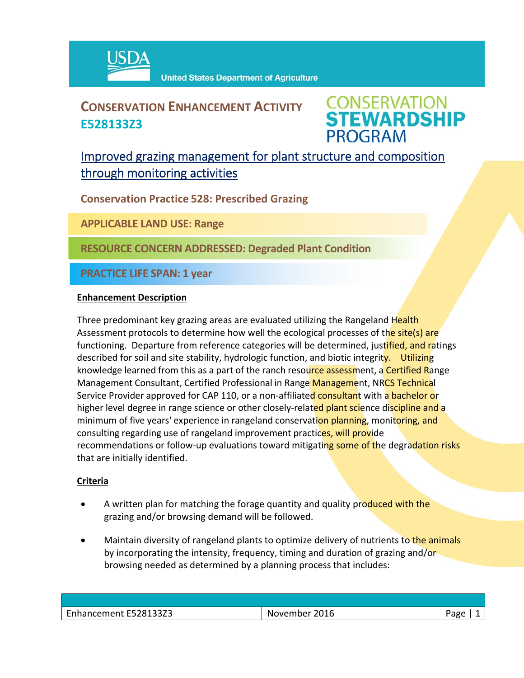

## **CONSERVATION ENHANCEMENT ACTIVITY E528133Z3**

**CONSERVATION<br>STEWARDSHIP PROGRAM** 

### Improved grazing management for plant structure and composition through monitoring activities

**Conservation Practice 528: Prescribed Grazing**

**APPLICABLE LAND USE: Range**

**RESOURCE CONCERN ADDRESSED: Degraded Plant Condition**

**PRACTICE LIFE SPAN: 1 year**

#### **Enhancement Description**

Three predominant key grazing areas are evaluated utilizing the Rangeland Health Assessment protocols to determine how well the ecological processes of the site(s) are functioning. Departure from reference categories will be determined, justified, and ratings described for soil and site stability, hydrologic function, and biotic integrity. Utilizing knowledge learned from this as a part of the ranch resource assessment, a Certified Range Management Consultant, Certified Professional in Range Management, NRCS Technical Service Provider approved for CAP 110, or a non-affiliated consultant with a bachelor or higher level degree in range science or other closely-related plant science discipline and a minimum of five years' experience in rangeland conservation planning, monitoring, and consulting regarding use of rangeland improvement practices, will provide recommendations or follow-up evaluations toward mitigating some of the degradation risks that are initially identified.

#### **Criteria**

- A written plan for matching the forage quantity and quality produced with the grazing and/or browsing demand will be followed.
- Maintain diversity of rangeland plants to optimize delivery of nutrients to the animals by incorporating the intensity, frequency, timing and duration of grazing and/or browsing needed as determined by a planning process that includes:

| Enhancement E528133Z3 | November 2016 | Page |
|-----------------------|---------------|------|
|                       |               |      |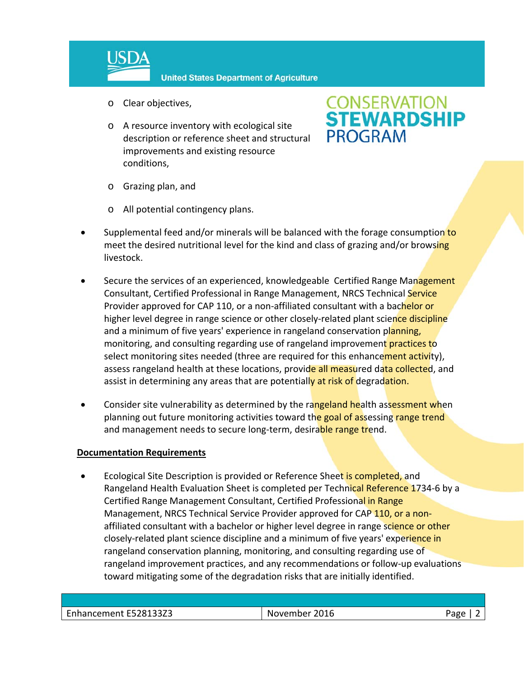

- o Clear objectives,
- o A resource inventory with ecological site description or reference sheet and structural improvements and existing resource conditions,

# **CONSERVATION<br>STEWARDSHIP PROGRAM**

- o Grazing plan, and
- o All potential contingency plans.
- Supplemental feed and/or minerals will be balanced with the forage consumption to meet the desired nutritional level for the kind and class of grazing and/or browsing livestock.
- Secure the services of an experienced, knowledgeable Certified Range Management Consultant, Certified Professional in Range Management, NRCS Technical Service Provider approved for CAP 110, or a non-affiliated consultant with a bachelor or higher level degree in range science or other closely-related plant science discipline and a minimum of five years' experience in rangeland conservation planning, monitoring, and consulting regarding use of rangeland improvement practices to select monitoring sites needed (three are required for this enhancement activity), assess rangeland health at these locations, provide all measured data collected, and assist in determining any areas that are potentially at risk of degradation.
- Consider site vulnerability as determined by the rangeland health assessment when planning out future monitoring activities toward the goal of assessing range trend and management needs to secure long-term, desirable range trend.

#### **Documentation Requirements**

Ecological Site Description is provided or Reference Sheet is completed, and Rangeland Health Evaluation Sheet is completed per Technical Reference 1734-6 by a Certified Range Management Consultant, Certified Professional in Range Management, NRCS Technical Service Provider approved for CAP 110, or a nonaffiliated consultant with a bachelor or higher level degree in range science or other closely-related plant science discipline and a minimum of five years' experience in rangeland conservation planning, monitoring, and consulting regarding use of rangeland improvement practices, and any recommendations or follow‐up evaluations toward mitigating some of the degradation risks that are initially identified.

| Enhancement E528133Z3 | 2016<br>.<br>IМ<br>ovember | וסבי |
|-----------------------|----------------------------|------|
|                       |                            |      |